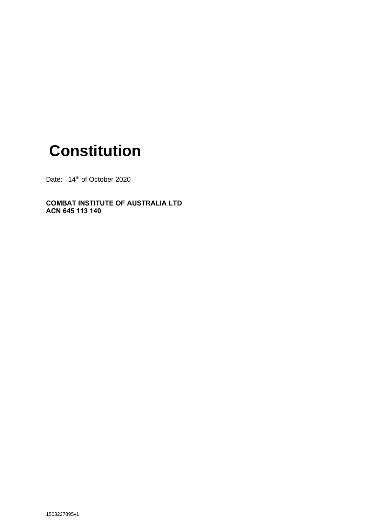# **Constitution**

Date: 14<sup>th</sup> of October 2020

#### **COMBAT INSTITUTE OF AUSTRALIA LTD ACN 645 113 140**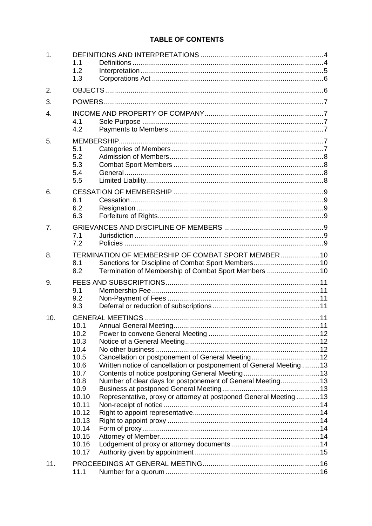### TABLE OF CONTENTS

| 1.               |                |                                                                     |  |  |  |  |  |
|------------------|----------------|---------------------------------------------------------------------|--|--|--|--|--|
|                  | 1.1            |                                                                     |  |  |  |  |  |
|                  | 1.2            |                                                                     |  |  |  |  |  |
|                  | 1.3            |                                                                     |  |  |  |  |  |
|                  |                |                                                                     |  |  |  |  |  |
| 2.               |                |                                                                     |  |  |  |  |  |
| 3.               |                |                                                                     |  |  |  |  |  |
| $\overline{4}$ . |                |                                                                     |  |  |  |  |  |
|                  | 4.1            |                                                                     |  |  |  |  |  |
|                  | 4.2            |                                                                     |  |  |  |  |  |
| 5.               |                |                                                                     |  |  |  |  |  |
|                  | 5.1            |                                                                     |  |  |  |  |  |
|                  | 5.2            |                                                                     |  |  |  |  |  |
|                  | 5.3            |                                                                     |  |  |  |  |  |
|                  | 5.4            |                                                                     |  |  |  |  |  |
|                  | 5.5            |                                                                     |  |  |  |  |  |
| 6.               |                |                                                                     |  |  |  |  |  |
|                  | 6.1            |                                                                     |  |  |  |  |  |
|                  | 6.2            |                                                                     |  |  |  |  |  |
|                  | 6.3            |                                                                     |  |  |  |  |  |
| 7.               |                |                                                                     |  |  |  |  |  |
|                  | 7.1            |                                                                     |  |  |  |  |  |
|                  | 7.2            |                                                                     |  |  |  |  |  |
| 8.               |                | TERMINATION OF MEMBERSHIP OF COMBAT SPORT MEMBER10                  |  |  |  |  |  |
|                  | 8.1            |                                                                     |  |  |  |  |  |
|                  | 8.2            | Termination of Membership of Combat Sport Members 10                |  |  |  |  |  |
| 9.               |                |                                                                     |  |  |  |  |  |
|                  | 9.1            |                                                                     |  |  |  |  |  |
|                  | 9.2            |                                                                     |  |  |  |  |  |
|                  | 9.3            |                                                                     |  |  |  |  |  |
|                  |                | <b>GENERAL MEETINGS.</b>                                            |  |  |  |  |  |
| 10.              | 10.1           |                                                                     |  |  |  |  |  |
|                  | 10.2           |                                                                     |  |  |  |  |  |
|                  | 10.3           |                                                                     |  |  |  |  |  |
|                  | 10.4           |                                                                     |  |  |  |  |  |
|                  | 10.5           |                                                                     |  |  |  |  |  |
|                  | 10.6           | Written notice of cancellation or postponement of General Meeting13 |  |  |  |  |  |
|                  | 10.7           |                                                                     |  |  |  |  |  |
|                  | 10.8           | Number of clear days for postponement of General Meeting13          |  |  |  |  |  |
|                  | 10.9           |                                                                     |  |  |  |  |  |
|                  | 10.10          | Representative, proxy or attorney at postponed General Meeting 13   |  |  |  |  |  |
|                  | 10.11          |                                                                     |  |  |  |  |  |
|                  | 10.12<br>10.13 |                                                                     |  |  |  |  |  |
|                  | 10.14          |                                                                     |  |  |  |  |  |
|                  | 10.15          |                                                                     |  |  |  |  |  |
|                  | 10.16          |                                                                     |  |  |  |  |  |
|                  | 10.17          |                                                                     |  |  |  |  |  |
| 11.              |                |                                                                     |  |  |  |  |  |
|                  | 11.1           |                                                                     |  |  |  |  |  |
|                  |                |                                                                     |  |  |  |  |  |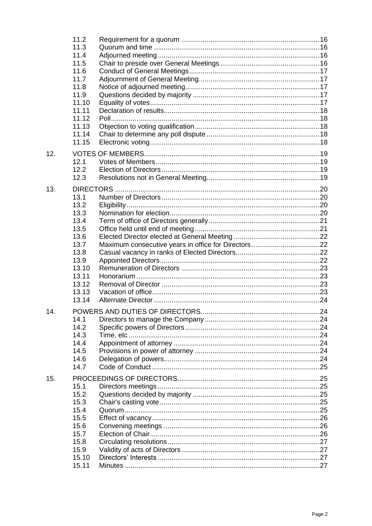|     | 11.2  |  |  |  |  |
|-----|-------|--|--|--|--|
|     | 11.3  |  |  |  |  |
|     | 11.4  |  |  |  |  |
|     | 11.5  |  |  |  |  |
|     | 11.6  |  |  |  |  |
|     | 11.7  |  |  |  |  |
|     | 11.8  |  |  |  |  |
|     | 11.9  |  |  |  |  |
|     | 11.10 |  |  |  |  |
|     | 11.11 |  |  |  |  |
|     | 11.12 |  |  |  |  |
|     | 11.13 |  |  |  |  |
|     | 11.14 |  |  |  |  |
|     | 11.15 |  |  |  |  |
| 12. |       |  |  |  |  |
|     | 12.1  |  |  |  |  |
|     | 12.2  |  |  |  |  |
|     | 12.3  |  |  |  |  |
| 13. |       |  |  |  |  |
|     | 13.1  |  |  |  |  |
|     | 13.2  |  |  |  |  |
|     | 13.3  |  |  |  |  |
|     | 13.4  |  |  |  |  |
|     | 13.5  |  |  |  |  |
|     | 13.6  |  |  |  |  |
|     | 13.7  |  |  |  |  |
|     | 13.8  |  |  |  |  |
|     | 13.9  |  |  |  |  |
|     | 13.10 |  |  |  |  |
|     | 13.11 |  |  |  |  |
|     | 13.12 |  |  |  |  |
|     | 13.13 |  |  |  |  |
|     | 13.14 |  |  |  |  |
|     |       |  |  |  |  |
| 14. |       |  |  |  |  |
|     | 14.1  |  |  |  |  |
|     | 14.2  |  |  |  |  |
|     | 14.3  |  |  |  |  |
|     | 14.4  |  |  |  |  |
|     | 14.5  |  |  |  |  |
|     | 14.6  |  |  |  |  |
|     | 14.7  |  |  |  |  |
| 15. |       |  |  |  |  |
|     | 15.1  |  |  |  |  |
|     | 15.2  |  |  |  |  |
|     | 15.3  |  |  |  |  |
|     | 15.4  |  |  |  |  |
|     | 15.5  |  |  |  |  |
|     | 15.6  |  |  |  |  |
|     | 15.7  |  |  |  |  |
|     | 15.8  |  |  |  |  |
|     | 15.9  |  |  |  |  |
|     | 15.10 |  |  |  |  |
|     | 15.11 |  |  |  |  |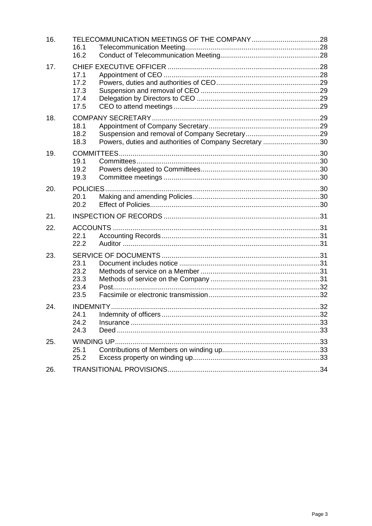| 16. | 16.1<br>16.2                         |                                                        |  |  |  |
|-----|--------------------------------------|--------------------------------------------------------|--|--|--|
| 17. | 17.1<br>17.2<br>17.3<br>17.4<br>17.5 |                                                        |  |  |  |
| 18. | 18.1<br>18.2<br>18.3                 | Powers, duties and authorities of Company Secretary 30 |  |  |  |
| 19. | 19.1<br>19.2<br>19.3                 |                                                        |  |  |  |
| 20. | 20.1<br>20.2                         |                                                        |  |  |  |
| 21. |                                      |                                                        |  |  |  |
| 22. | 22.1<br>22.2                         |                                                        |  |  |  |
| 23. | 23.1<br>23.2<br>23.3<br>23.4<br>23.5 |                                                        |  |  |  |
| 24. | 24.1<br>24.2<br>24.3                 |                                                        |  |  |  |
| 25. | 25.1<br>25.2                         |                                                        |  |  |  |
| 26. |                                      |                                                        |  |  |  |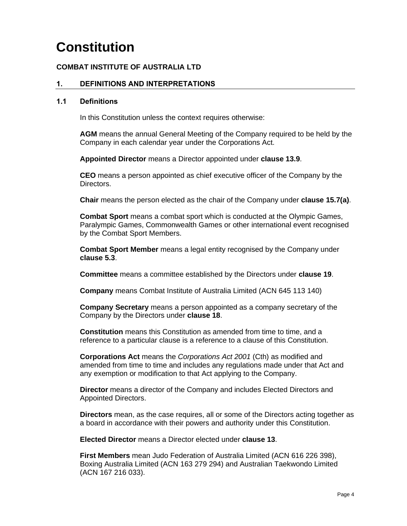## **Constitution**

#### **COMBAT INSTITUTE OF AUSTRALIA LTD**

#### **1. DEFINITIONS AND INTERPRETATIONS**

#### <span id="page-4-0"></span>**1.1 Definitions**

In this Constitution unless the context requires otherwise:

<span id="page-4-1"></span>**AGM** means the annual General Meeting of the Company required to be held by the Company in each calendar year under the Corporations Act.

**Appointed Director** means a Director appointed under **clause [13.9](#page-22-4)**.

**CEO** means a person appointed as chief executive officer of the Company by the Directors.

**Chair** means the person elected as the chair of the Company under **clause [15.7\(a\)](#page-26-3)**.

**Combat Sport** means a combat sport which is conducted at the Olympic Games, Paralympic Games, Commonwealth Games or other international event recognised by the Combat Sport Members.

**Combat Sport Member** means a legal entity recognised by the Company under **clause [5.3](#page-8-4)**.

**Committee** means a committee established by the Directors under **clause [19](#page-30-8)**.

**Company** means Combat Institute of Australia Limited (ACN 645 113 140)

**Company Secretary** means a person appointed as a company secretary of the Company by the Directors under **clause [18](#page-29-7)**.

**Constitution** means this Constitution as amended from time to time, and a reference to a particular clause is a reference to a clause of this Constitution.

**Corporations Act** means the *Corporations Act 2001* (Cth) as modified and amended from time to time and includes any regulations made under that Act and any exemption or modification to that Act applying to the Company.

**Director** means a director of the Company and includes Elected Directors and Appointed Directors.

**Directors** mean, as the case requires, all or some of the Directors acting together as a board in accordance with their powers and authority under this Constitution.

**Elected Director** means a Director elected under **clause [13](#page-20-4)**.

**First Members** mean Judo Federation of Australia Limited (ACN 616 226 398), Boxing Australia Limited (ACN 163 279 294) and Australian Taekwondo Limited (ACN 167 216 033).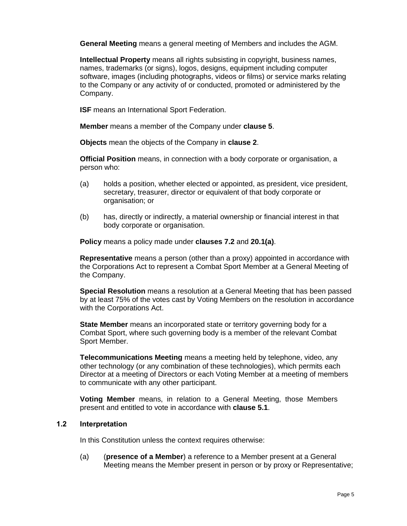**General Meeting** means a general meeting of Members and includes the AGM.

**Intellectual Property** means all rights subsisting in copyright, business names, names, trademarks (or signs), logos, designs, equipment including computer software, images (including photographs, videos or films) or service marks relating to the Company or any activity of or conducted, promoted or administered by the Company.

**ISF** means an International Sport Federation.

**Member** means a member of the Company under **clause [5](#page-7-6)**.

**Objects** mean the objects of the Company in **clause [2](#page-6-2)**.

**Official Position** means, in connection with a body corporate or organisation, a person who:

- (a) holds a position, whether elected or appointed, as president, vice president, secretary, treasurer, director or equivalent of that body corporate or organisation; or
- (b) has, directly or indirectly, a material ownership or financial interest in that body corporate or organisation.

**Policy** means a policy made under **clauses [7.2](#page-9-7)** and **[20.1\(a\)](#page-30-5)**.

**Representative** means a person (other than a proxy) appointed in accordance with the Corporations Act to represent a Combat Sport Member at a General Meeting of the Company.

**Special Resolution** means a resolution at a General Meeting that has been passed by at least 75% of the votes cast by Voting Members on the resolution in accordance with the Corporations Act.

**State Member** means an incorporated state or territory governing body for a Combat Sport, where such governing body is a member of the relevant Combat Sport Member.

**Telecommunications Meeting** means a meeting held by telephone, video, any other technology (or any combination of these technologies), which permits each Director at a meeting of Directors or each Voting Member at a meeting of members to communicate with any other participant.

**Voting Member** means, in relation to a General Meeting, those Members present and entitled to vote in accordance with **clause [5.1](#page-7-7)**.

#### **1.2 Interpretation**

In this Constitution unless the context requires otherwise:

<span id="page-5-0"></span>(a) (**presence of a Member**) a reference to a Member present at a General Meeting means the Member present in person or by proxy or Representative;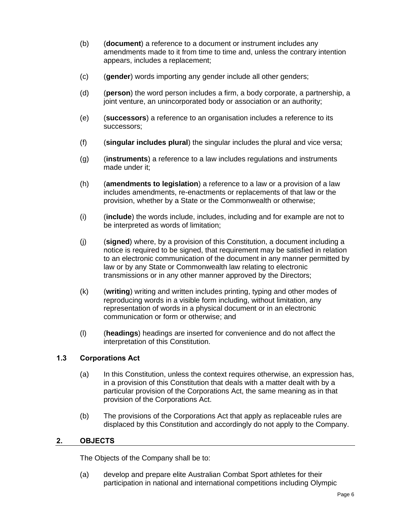- (b) (**document**) a reference to a document or instrument includes any amendments made to it from time to time and, unless the contrary intention appears, includes a replacement;
- (c) (**gender**) words importing any gender include all other genders;
- (d) (**person**) the word person includes a firm, a body corporate, a partnership, a joint venture, an unincorporated body or association or an authority;
- (e) (**successors**) a reference to an organisation includes a reference to its successors;
- (f) (**singular includes plural**) the singular includes the plural and vice versa;
- (g) (**instruments**) a reference to a law includes regulations and instruments made under it;
- (h) (**amendments to legislation**) a reference to a law or a provision of a law includes amendments, re-enactments or replacements of that law or the provision, whether by a State or the Commonwealth or otherwise;
- (i) (**include**) the words include, includes, including and for example are not to be interpreted as words of limitation;
- (j) (**signed**) where, by a provision of this Constitution, a document including a notice is required to be signed, that requirement may be satisfied in relation to an electronic communication of the document in any manner permitted by law or by any State or Commonwealth law relating to electronic transmissions or in any other manner approved by the Directors;
- (k) (**writing**) writing and written includes printing, typing and other modes of reproducing words in a visible form including, without limitation, any representation of words in a physical document or in an electronic communication or form or otherwise; and
- (l) (**headings**) headings are inserted for convenience and do not affect the interpretation of this Constitution.

#### **1.3 Corporations Act**

- <span id="page-6-0"></span>(a) In this Constitution, unless the context requires otherwise, an expression has, in a provision of this Constitution that deals with a matter dealt with by a particular provision of the Corporations Act, the same meaning as in that provision of the Corporations Act.
- (b) The provisions of the Corporations Act that apply as replaceable rules are displaced by this Constitution and accordingly do not apply to the Company.

#### <span id="page-6-2"></span>**2. OBJECTS**

The Objects of the Company shall be to:

<span id="page-6-1"></span>(a) develop and prepare elite Australian Combat Sport athletes for their participation in national and international competitions including Olympic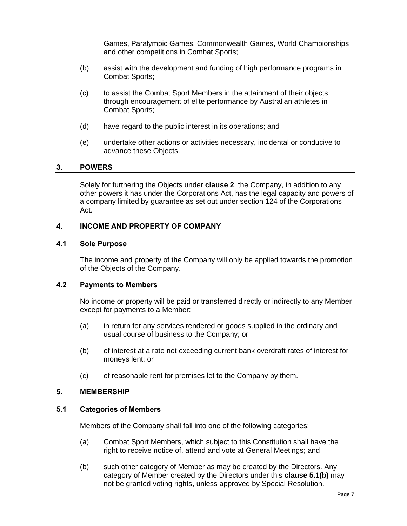Games, Paralympic Games, Commonwealth Games, World Championships and other competitions in Combat Sports;

- (b) assist with the development and funding of high performance programs in Combat Sports;
- (c) to assist the Combat Sport Members in the attainment of their objects through encouragement of elite performance by Australian athletes in Combat Sports;
- (d) have regard to the public interest in its operations; and
- (e) undertake other actions or activities necessary, incidental or conducive to advance these Objects.

#### **3. POWERS**

Solely for furthering the Objects under **clause [2](#page-6-2)**, the Company, in addition to any other powers it has under the Corporations Act, has the legal capacity and powers of a company limited by guarantee as set out under section 124 of the Corporations Act.

#### <span id="page-7-0"></span>**4. INCOME AND PROPERTY OF COMPANY**

#### <span id="page-7-1"></span>**4.1 Sole Purpose**

The income and property of the Company will only be applied towards the promotion of the Objects of the Company.

#### <span id="page-7-2"></span>**4.2 Payments to Members**

No income or property will be paid or transferred directly or indirectly to any Member except for payments to a Member:

- <span id="page-7-3"></span>(a) in return for any services rendered or goods supplied in the ordinary and usual course of business to the Company; or
- (b) of interest at a rate not exceeding current bank overdraft rates of interest for moneys lent; or
- (c) of reasonable rent for premises let to the Company by them.

#### <span id="page-7-6"></span>**5. MEMBERSHIP**

#### <span id="page-7-7"></span><span id="page-7-4"></span>**5.1 Categories of Members**

Members of the Company shall fall into one of the following categories:

- <span id="page-7-5"></span>(a) Combat Sport Members, which subject to this Constitution shall have the right to receive notice of, attend and vote at General Meetings; and
- <span id="page-7-8"></span>(b) such other category of Member as may be created by the Directors. Any category of Member created by the Directors under this **clause [5.1\(b\)](#page-7-8)** may not be granted voting rights, unless approved by Special Resolution.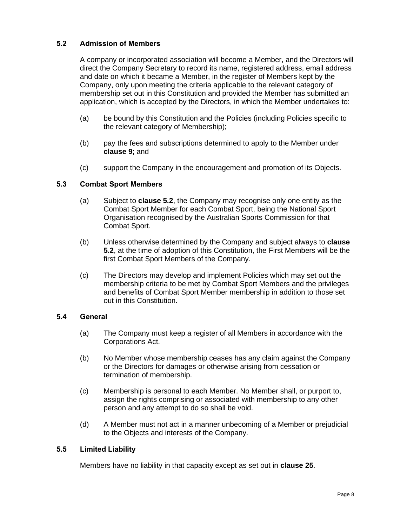#### <span id="page-8-5"></span>**5.2 Admission of Members**

<span id="page-8-0"></span>A company or incorporated association will become a Member, and the Directors will direct the Company Secretary to record its name, registered address, email address and date on which it became a Member, in the register of Members kept by the Company, only upon meeting the criteria applicable to the relevant category of membership set out in this Constitution and provided the Member has submitted an application, which is accepted by the Directors, in which the Member undertakes to:

- (a) be bound by this Constitution and the Policies (including Policies specific to the relevant category of Membership);
- (b) pay the fees and subscriptions determined to apply to the Member under **clause [9](#page-11-6)**; and
- (c) support the Company in the encouragement and promotion of its Objects.

#### <span id="page-8-6"></span><span id="page-8-4"></span>**5.3 Combat Sport Members**

- <span id="page-8-1"></span>(a) Subject to **clause [5.2](#page-8-5)**, the Company may recognise only one entity as the Combat Sport Member for each Combat Sport, being the National Sport Organisation recognised by the Australian Sports Commission for that Combat Sport.
- (b) Unless otherwise determined by the Company and subject always to **clause [5.2](#page-8-5)**, at the time of adoption of this Constitution, the First Members will be the first Combat Sport Members of the Company.
- (c) The Directors may develop and implement Policies which may set out the membership criteria to be met by Combat Sport Members and the privileges and benefits of Combat Sport Member membership in addition to those set out in this Constitution.

#### **5.4 General**

- (a) The Company must keep a register of all Members in accordance with the Corporations Act.
- <span id="page-8-2"></span>(b) No Member whose membership ceases has any claim against the Company or the Directors for damages or otherwise arising from cessation or termination of membership.
- (c) Membership is personal to each Member. No Member shall, or purport to, assign the rights comprising or associated with membership to any other person and any attempt to do so shall be void.
- (d) A Member must not act in a manner unbecoming of a Member or prejudicial to the Objects and interests of the Company.

#### **5.5 Limited Liability**

<span id="page-8-3"></span>Members have no liability in that capacity except as set out in **clause [25](#page-33-5)**.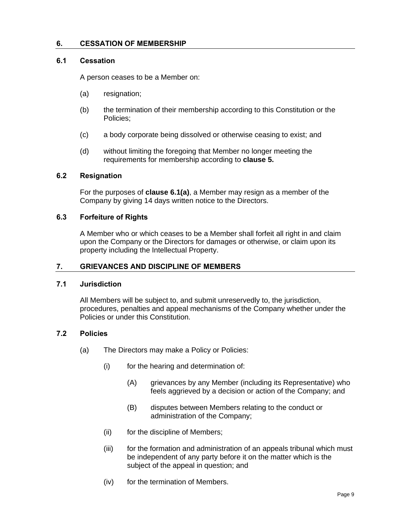#### **6. CESSATION OF MEMBERSHIP**

#### <span id="page-9-0"></span>**6.1 Cessation**

A person ceases to be a Member on:

- <span id="page-9-8"></span><span id="page-9-1"></span>(a) resignation;
- (b) the termination of their membership according to this Constitution or the Policies;
- (c) a body corporate being dissolved or otherwise ceasing to exist; and
- (d) without limiting the foregoing that Member no longer meeting the requirements for membership according to **clause [5.](#page-7-6)**

#### **6.2 Resignation**

For the purposes of **clause [6.1\(a\)](#page-9-8)**, a Member may resign as a member of the Company by giving 14 days written notice to the Directors.

#### <span id="page-9-2"></span>**6.3 Forfeiture of Rights**

A Member who or which ceases to be a Member shall forfeit all right in and claim upon the Company or the Directors for damages or otherwise, or claim upon its property including the Intellectual Property.

#### <span id="page-9-3"></span>**7. GRIEVANCES AND DISCIPLINE OF MEMBERS**

#### <span id="page-9-4"></span>**7.1 Jurisdiction**

All Members will be subject to, and submit unreservedly to, the jurisdiction, procedures, penalties and appeal mechanisms of the Company whether under the Policies or under this Constitution.

#### <span id="page-9-7"></span><span id="page-9-5"></span>**7.2 Policies**

- <span id="page-9-6"></span>(a) The Directors may make a Policy or Policies:
	- (i) for the hearing and determination of:
		- (A) grievances by any Member (including its Representative) who feels aggrieved by a decision or action of the Company; and
		- (B) disputes between Members relating to the conduct or administration of the Company;
	- (ii) for the discipline of Members;
	- (iii) for the formation and administration of an appeals tribunal which must be independent of any party before it on the matter which is the subject of the appeal in question; and
	- (iv) for the termination of Members.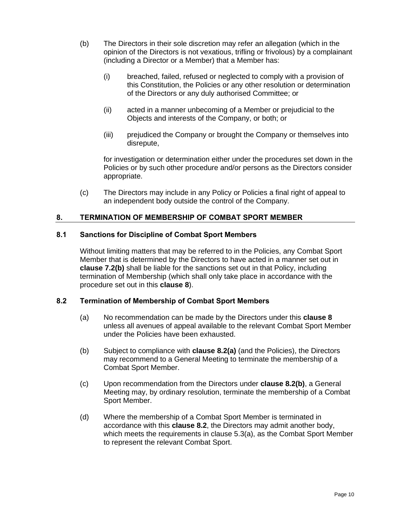- <span id="page-10-3"></span>(b) The Directors in their sole discretion may refer an allegation (which in the opinion of the Directors is not vexatious, trifling or frivolous) by a complainant (including a Director or a Member) that a Member has:
	- (i) breached, failed, refused or neglected to comply with a provision of this Constitution, the Policies or any other resolution or determination of the Directors or any duly authorised Committee; or
	- (ii) acted in a manner unbecoming of a Member or prejudicial to the Objects and interests of the Company, or both; or
	- (iii) prejudiced the Company or brought the Company or themselves into disrepute,

for investigation or determination either under the procedures set down in the Policies or by such other procedure and/or persons as the Directors consider appropriate.

(c) The Directors may include in any Policy or Policies a final right of appeal to an independent body outside the control of the Company.

#### <span id="page-10-4"></span>**8. TERMINATION OF MEMBERSHIP OF COMBAT SPORT MEMBER**

#### <span id="page-10-0"></span>**8.1 Sanctions for Discipline of Combat Sport Members**

<span id="page-10-1"></span>Without limiting matters that may be referred to in the Policies, any Combat Sport Member that is determined by the Directors to have acted in a manner set out in **clause [7.2\(b\)](#page-10-3)** shall be liable for the sanctions set out in that Policy, including termination of Membership (which shall only take place in accordance with the procedure set out in this **clause [8](#page-10-4)**).

#### <span id="page-10-7"></span><span id="page-10-5"></span>**8.2 Termination of Membership of Combat Sport Members**

- <span id="page-10-2"></span>(a) No recommendation can be made by the Directors under this **clause [8](#page-10-4)** unless all avenues of appeal available to the relevant Combat Sport Member under the Policies have been exhausted.
- <span id="page-10-6"></span>(b) Subject to compliance with **clause [8.2\(a\)](#page-10-5)** (and the Policies), the Directors may recommend to a General Meeting to terminate the membership of a Combat Sport Member.
- (c) Upon recommendation from the Directors under **clause [8.2\(b\)](#page-10-6)**, a General Meeting may, by ordinary resolution, terminate the membership of a Combat Sport Member.
- (d) Where the membership of a Combat Sport Member is terminated in accordance with this **clause [8.2](#page-10-7)**, the Directors may admit another body, which meets the requirements in clause [5.3\(a\),](#page-8-6) as the Combat Sport Member to represent the relevant Combat Sport.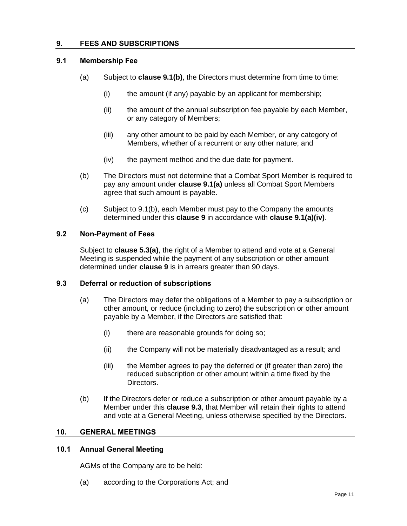#### <span id="page-11-6"></span>**9. FEES AND SUBSCRIPTIONS**

#### <span id="page-11-8"></span><span id="page-11-0"></span>**9.1 Membership Fee**

- <span id="page-11-1"></span>(a) Subject to **clause [9.1\(b\)](#page-11-7)**, the Directors must determine from time to time:
	- (i) the amount (if any) payable by an applicant for membership;
	- (ii) the amount of the annual subscription fee payable by each Member, or any category of Members;
	- (iii) any other amount to be paid by each Member, or any category of Members, whether of a recurrent or any other nature; and
	- (iv) the payment method and the due date for payment.
- <span id="page-11-9"></span><span id="page-11-7"></span>(b) The Directors must not determine that a Combat Sport Member is required to pay any amount under **clause [9.1\(a\)](#page-11-8)** unless all Combat Sport Members agree that such amount is payable.
- (c) Subject to [9.1\(b\),](#page-11-7) each Member must pay to the Company the amounts determined under this **clause [9](#page-11-6)** in accordance with **clause [9.1\(a\)\(iv\)](#page-11-9)**.

#### **9.2 Non-Payment of Fees**

Subject to **clause [5.3\(a\)](#page-8-6)**, the right of a Member to attend and vote at a General Meeting is suspended while the payment of any subscription or other amount determined under **clause [9](#page-11-6)** is in arrears greater than 90 days.

#### <span id="page-11-10"></span><span id="page-11-2"></span>**9.3 Deferral or reduction of subscriptions**

- <span id="page-11-3"></span>(a) The Directors may defer the obligations of a Member to pay a subscription or other amount, or reduce (including to zero) the subscription or other amount payable by a Member, if the Directors are satisfied that:
	- (i) there are reasonable grounds for doing so;
	- (ii) the Company will not be materially disadvantaged as a result; and
	- (iii) the Member agrees to pay the deferred or (if greater than zero) the reduced subscription or other amount within a time fixed by the Directors.
- (b) If the Directors defer or reduce a subscription or other amount payable by a Member under this **clause [9.3](#page-11-10)**, that Member will retain their rights to attend and vote at a General Meeting, unless otherwise specified by the Directors.

#### **10. GENERAL MEETINGS**

#### <span id="page-11-4"></span>**10.1 Annual General Meeting**

AGMs of the Company are to be held:

<span id="page-11-5"></span>(a) according to the Corporations Act; and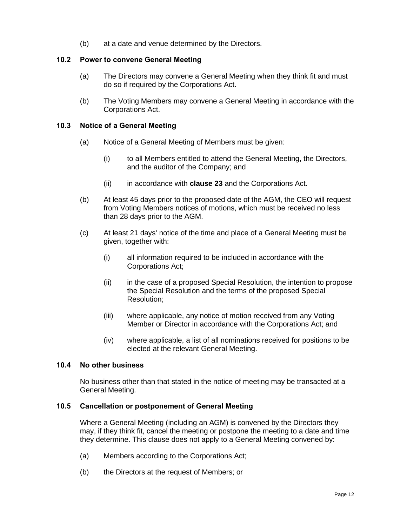(b) at a date and venue determined by the Directors.

#### **10.2 Power to convene General Meeting**

- (a) The Directors may convene a General Meeting when they think fit and must do so if required by the Corporations Act.
- <span id="page-12-0"></span>(b) The Voting Members may convene a General Meeting in accordance with the Corporations Act.

#### **10.3 Notice of a General Meeting**

- <span id="page-12-1"></span>(a) Notice of a General Meeting of Members must be given:
	- (i) to all Members entitled to attend the General Meeting, the Directors, and the auditor of the Company; and
	- (ii) in accordance with **clause [23](#page-31-8)** and the Corporations Act.
- (b) At least 45 days prior to the proposed date of the AGM, the CEO will request from Voting Members notices of motions, which must be received no less than 28 days prior to the AGM.
- (c) At least 21 days' notice of the time and place of a General Meeting must be given, together with:
	- (i) all information required to be included in accordance with the Corporations Act;
	- (ii) in the case of a proposed Special Resolution, the intention to propose the Special Resolution and the terms of the proposed Special Resolution;
	- (iii) where applicable, any notice of motion received from any Voting Member or Director in accordance with the Corporations Act; and
	- (iv) where applicable, a list of all nominations received for positions to be elected at the relevant General Meeting.

#### **10.4 No other business**

No business other than that stated in the notice of meeting may be transacted at a General Meeting.

#### <span id="page-12-2"></span>**10.5 Cancellation or postponement of General Meeting**

<span id="page-12-3"></span>Where a General Meeting (including an AGM) is convened by the Directors they may, if they think fit, cancel the meeting or postpone the meeting to a date and time they determine. This clause does not apply to a General Meeting convened by:

- (a) Members according to the Corporations Act;
- (b) the Directors at the request of Members; or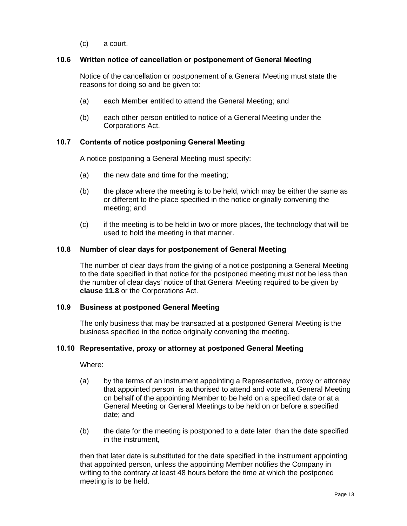(c) a court.

#### **10.6 Written notice of cancellation or postponement of General Meeting**

Notice of the cancellation or postponement of a General Meeting must state the reasons for doing so and be given to:

- <span id="page-13-0"></span>(a) each Member entitled to attend the General Meeting; and
- (b) each other person entitled to notice of a General Meeting under the Corporations Act.

#### **10.7 Contents of notice postponing General Meeting**

A notice postponing a General Meeting must specify:

- <span id="page-13-1"></span>(a) the new date and time for the meeting;
- (b) the place where the meeting is to be held, which may be either the same as or different to the place specified in the notice originally convening the meeting; and
- (c) if the meeting is to be held in two or more places, the technology that will be used to hold the meeting in that manner.

#### **10.8 Number of clear days for postponement of General Meeting**

The number of clear days from the giving of a notice postponing a General Meeting to the date specified in that notice for the postponed meeting must not be less than the number of clear days' notice of that General Meeting required to be given by **clause [11.8](#page-17-5)** or the Corporations Act.

#### <span id="page-13-2"></span>**10.9 Business at postponed General Meeting**

The only business that may be transacted at a postponed General Meeting is the business specified in the notice originally convening the meeting.

#### <span id="page-13-3"></span>**10.10 Representative, proxy or attorney at postponed General Meeting**

Where:

- <span id="page-13-4"></span>(a) by the terms of an instrument appointing a Representative, proxy or attorney that appointed person is authorised to attend and vote at a General Meeting on behalf of the appointing Member to be held on a specified date or at a General Meeting or General Meetings to be held on or before a specified date; and
- (b) the date for the meeting is postponed to a date later than the date specified in the instrument,

then that later date is substituted for the date specified in the instrument appointing that appointed person, unless the appointing Member notifies the Company in writing to the contrary at least 48 hours before the time at which the postponed meeting is to be held.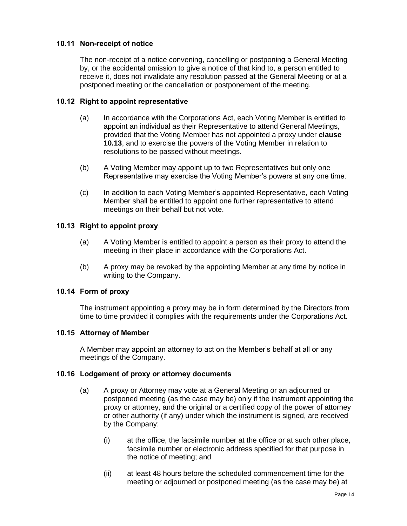#### **10.11 Non-receipt of notice**

The non-receipt of a notice convening, cancelling or postponing a General Meeting by, or the accidental omission to give a notice of that kind to, a person entitled to receive it, does not invalidate any resolution passed at the General Meeting or at a postponed meeting or the cancellation or postponement of the meeting.

#### <span id="page-14-0"></span>**10.12 Right to appoint representative**

- <span id="page-14-1"></span>(a) In accordance with the Corporations Act, each Voting Member is entitled to appoint an individual as their Representative to attend General Meetings, provided that the Voting Member has not appointed a proxy under **clause [10.13](#page-14-6)**, and to exercise the powers of the Voting Member in relation to resolutions to be passed without meetings.
- (b) A Voting Member may appoint up to two Representatives but only one Representative may exercise the Voting Member's powers at any one time.
- (c) In addition to each Voting Member's appointed Representative, each Voting Member shall be entitled to appoint one further representative to attend meetings on their behalf but not vote.

#### <span id="page-14-6"></span>**10.13 Right to appoint proxy**

- (a) A Voting Member is entitled to appoint a person as their proxy to attend the meeting in their place in accordance with the Corporations Act.
- <span id="page-14-2"></span>(b) A proxy may be revoked by the appointing Member at any time by notice in writing to the Company.

#### **10.14 Form of proxy**

The instrument appointing a proxy may be in form determined by the Directors from time to time provided it complies with the requirements under the Corporations Act.

#### <span id="page-14-3"></span>**10.15 Attorney of Member**

A Member may appoint an attorney to act on the Member's behalf at all or any meetings of the Company.

#### <span id="page-14-4"></span>**10.16 Lodgement of proxy or attorney documents**

- <span id="page-14-5"></span>(a) A proxy or Attorney may vote at a General Meeting or an adjourned or postponed meeting (as the case may be) only if the instrument appointing the proxy or attorney, and the original or a certified copy of the power of attorney or other authority (if any) under which the instrument is signed, are received by the Company:
	- (i) at the office, the facsimile number at the office or at such other place, facsimile number or electronic address specified for that purpose in the notice of meeting; and
	- (ii) at least 48 hours before the scheduled commencement time for the meeting or adjourned or postponed meeting (as the case may be) at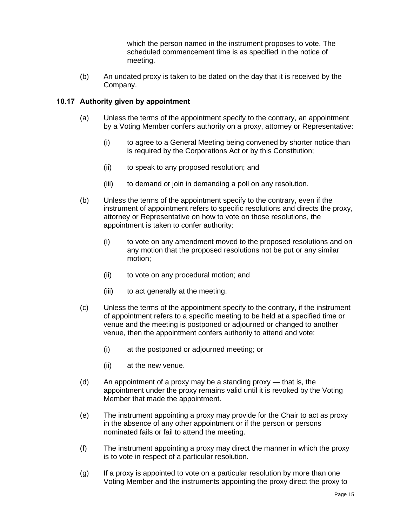which the person named in the instrument proposes to vote. The scheduled commencement time is as specified in the notice of meeting.

(b) An undated proxy is taken to be dated on the day that it is received by the Company.

#### **10.17 Authority given by appointment**

- <span id="page-15-0"></span>(a) Unless the terms of the appointment specify to the contrary, an appointment by a Voting Member confers authority on a proxy, attorney or Representative:
	- (i) to agree to a General Meeting being convened by shorter notice than is required by the Corporations Act or by this Constitution;
	- (ii) to speak to any proposed resolution; and
	- (iii) to demand or join in demanding a poll on any resolution.
- (b) Unless the terms of the appointment specify to the contrary, even if the instrument of appointment refers to specific resolutions and directs the proxy, attorney or Representative on how to vote on those resolutions, the appointment is taken to confer authority:
	- (i) to vote on any amendment moved to the proposed resolutions and on any motion that the proposed resolutions not be put or any similar motion;
	- (ii) to vote on any procedural motion; and
	- (iii) to act generally at the meeting.
- (c) Unless the terms of the appointment specify to the contrary, if the instrument of appointment refers to a specific meeting to be held at a specified time or venue and the meeting is postponed or adjourned or changed to another venue, then the appointment confers authority to attend and vote:
	- (i) at the postponed or adjourned meeting; or
	- (ii) at the new venue.
- (d) An appointment of a proxy may be a standing proxy that is, the appointment under the proxy remains valid until it is revoked by the Voting Member that made the appointment.
- (e) The instrument appointing a proxy may provide for the Chair to act as proxy in the absence of any other appointment or if the person or persons nominated fails or fail to attend the meeting.
- (f) The instrument appointing a proxy may direct the manner in which the proxy is to vote in respect of a particular resolution.
- (g) If a proxy is appointed to vote on a particular resolution by more than one Voting Member and the instruments appointing the proxy direct the proxy to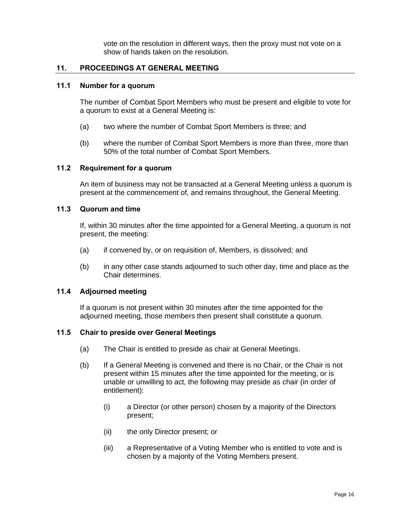vote on the resolution in different ways, then the proxy must not vote on a show of hands taken on the resolution.

#### **11. PROCEEDINGS AT GENERAL MEETING**

#### <span id="page-16-0"></span>**11.1 Number for a quorum**

The number of Combat Sport Members who must be present and eligible to vote for a quorum to exist at a General Meeting is:

- <span id="page-16-1"></span>(a) two where the number of Combat Sport Members is three; and
- (b) where the number of Combat Sport Members is more than three, more than 50% of the total number of Combat Sport Members.

#### **11.2 Requirement for a quorum**

An item of business may not be transacted at a General Meeting unless a quorum is present at the commencement of, and remains throughout, the General Meeting.

#### <span id="page-16-2"></span>**11.3 Quorum and time**

If, within 30 minutes after the time appointed for a General Meeting, a quorum is not present, the meeting:

- <span id="page-16-3"></span>(a) if convened by, or on requisition of, Members, is dissolved; and
- (b) in any other case stands adjourned to such other day, time and place as the Chair determines.

#### **11.4 Adjourned meeting**

If a quorum is not present within 30 minutes after the time appointed for the adjourned meeting, those members then present shall constitute a quorum.

#### <span id="page-16-4"></span>**11.5 Chair to preside over General Meetings**

- (a) The Chair is entitled to preside as chair at General Meetings.
- <span id="page-16-5"></span>(b) If a General Meeting is convened and there is no Chair, or the Chair is not present within 15 minutes after the time appointed for the meeting, or is unable or unwilling to act, the following may preside as chair (in order of entitlement):
	- (i) a Director (or other person) chosen by a majority of the Directors present;
	- (ii) the only Director present; or
	- (iii) a Representative of a Voting Member who is entitled to vote and is chosen by a majority of the Voting Members present.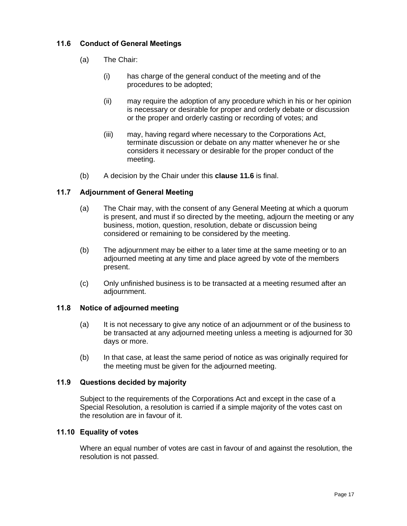#### <span id="page-17-6"></span>**11.6 Conduct of General Meetings**

- <span id="page-17-0"></span>(a) The Chair:
	- (i) has charge of the general conduct of the meeting and of the procedures to be adopted;
	- (ii) may require the adoption of any procedure which in his or her opinion is necessary or desirable for proper and orderly debate or discussion or the proper and orderly casting or recording of votes; and
	- (iii) may, having regard where necessary to the Corporations Act, terminate discussion or debate on any matter whenever he or she considers it necessary or desirable for the proper conduct of the meeting.
- (b) A decision by the Chair under this **clause [11.6](#page-17-6)** is final.

#### **11.7 Adjournment of General Meeting**

- <span id="page-17-1"></span>(a) The Chair may, with the consent of any General Meeting at which a quorum is present, and must if so directed by the meeting, adjourn the meeting or any business, motion, question, resolution, debate or discussion being considered or remaining to be considered by the meeting.
- (b) The adjournment may be either to a later time at the same meeting or to an adjourned meeting at any time and place agreed by vote of the members present.
- (c) Only unfinished business is to be transacted at a meeting resumed after an adjournment.

#### <span id="page-17-5"></span>**11.8 Notice of adjourned meeting**

- <span id="page-17-2"></span>(a) It is not necessary to give any notice of an adjournment or of the business to be transacted at any adjourned meeting unless a meeting is adjourned for 30 days or more.
- (b) In that case, at least the same period of notice as was originally required for the meeting must be given for the adjourned meeting.

#### **11.9 Questions decided by majority**

Subject to the requirements of the Corporations Act and except in the case of a Special Resolution, a resolution is carried if a simple majority of the votes cast on the resolution are in favour of it.

#### <span id="page-17-3"></span>**11.10 Equality of votes**

<span id="page-17-4"></span>Where an equal number of votes are cast in favour of and against the resolution, the resolution is not passed.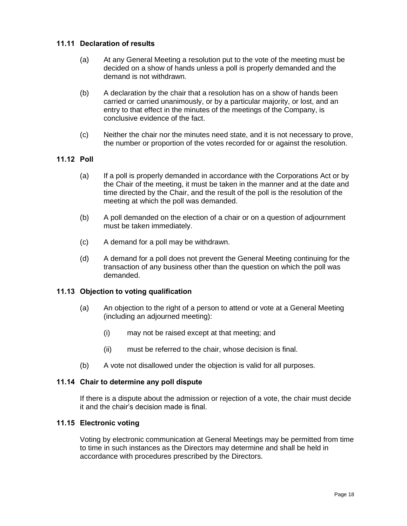#### **11.11 Declaration of results**

- <span id="page-18-0"></span>(a) At any General Meeting a resolution put to the vote of the meeting must be decided on a show of hands unless a poll is properly demanded and the demand is not withdrawn.
- (b) A declaration by the chair that a resolution has on a show of hands been carried or carried unanimously, or by a particular majority, or lost, and an entry to that effect in the minutes of the meetings of the Company, is conclusive evidence of the fact.
- (c) Neither the chair nor the minutes need state, and it is not necessary to prove, the number or proportion of the votes recorded for or against the resolution.

#### **11.12 Poll**

- <span id="page-18-1"></span>(a) If a poll is properly demanded in accordance with the Corporations Act or by the Chair of the meeting, it must be taken in the manner and at the date and time directed by the Chair, and the result of the poll is the resolution of the meeting at which the poll was demanded.
- (b) A poll demanded on the election of a chair or on a question of adjournment must be taken immediately.
- (c) A demand for a poll may be withdrawn.
- (d) A demand for a poll does not prevent the General Meeting continuing for the transaction of any business other than the question on which the poll was demanded.

#### **11.13 Objection to voting qualification**

- <span id="page-18-2"></span>(a) An objection to the right of a person to attend or vote at a General Meeting (including an adjourned meeting):
	- (i) may not be raised except at that meeting; and
	- (ii) must be referred to the chair, whose decision is final.
- (b) A vote not disallowed under the objection is valid for all purposes.

#### **11.14 Chair to determine any poll dispute**

If there is a dispute about the admission or rejection of a vote, the chair must decide it and the chair's decision made is final.

#### <span id="page-18-3"></span>**11.15 Electronic voting**

<span id="page-18-4"></span>Voting by electronic communication at General Meetings may be permitted from time to time in such instances as the Directors may determine and shall be held in accordance with procedures prescribed by the Directors.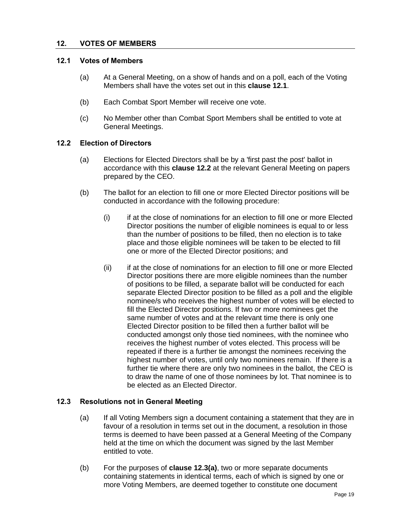#### **12. VOTES OF MEMBERS**

#### <span id="page-19-4"></span><span id="page-19-0"></span>**12.1 Votes of Members**

- (a) At a General Meeting, on a show of hands and on a poll, each of the Voting Members shall have the votes set out in this **clause [12.1](#page-19-4)**.
- <span id="page-19-1"></span>(b) Each Combat Sport Member will receive one vote.
- (c) No Member other than Combat Sport Members shall be entitled to vote at General Meetings.

#### <span id="page-19-5"></span>**12.2 Election of Directors**

- <span id="page-19-2"></span>(a) Elections for Elected Directors shall be by a 'first past the post' ballot in accordance with this **clause [12.2](#page-19-5)** at the relevant General Meeting on papers prepared by the CEO.
- (b) The ballot for an election to fill one or more Elected Director positions will be conducted in accordance with the following procedure:
	- (i) if at the close of nominations for an election to fill one or more Elected Director positions the number of eligible nominees is equal to or less than the number of positions to be filled, then no election is to take place and those eligible nominees will be taken to be elected to fill one or more of the Elected Director positions; and
	- (ii) if at the close of nominations for an election to fill one or more Elected Director positions there are more eligible nominees than the number of positions to be filled, a separate ballot will be conducted for each separate Elected Director position to be filled as a poll and the eligible nominee/s who receives the highest number of votes will be elected to fill the Elected Director positions. If two or more nominees get the same number of votes and at the relevant time there is only one Elected Director position to be filled then a further ballot will be conducted amongst only those tied nominees, with the nominee who receives the highest number of votes elected. This process will be repeated if there is a further tie amongst the nominees receiving the highest number of votes, until only two nominees remain. If there is a further tie where there are only two nominees in the ballot, the CEO is to draw the name of one of those nominees by lot. That nominee is to be elected as an Elected Director.

#### <span id="page-19-6"></span>**12.3 Resolutions not in General Meeting**

- <span id="page-19-3"></span>(a) If all Voting Members sign a document containing a statement that they are in favour of a resolution in terms set out in the document, a resolution in those terms is deemed to have been passed at a General Meeting of the Company held at the time on which the document was signed by the last Member entitled to vote.
- (b) For the purposes of **clause [12.3\(a\)](#page-19-6)**, two or more separate documents containing statements in identical terms, each of which is signed by one or more Voting Members, are deemed together to constitute one document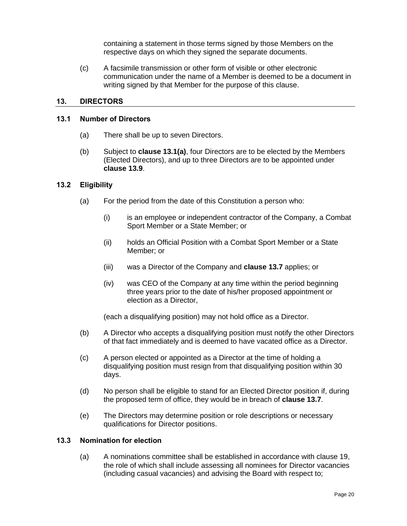containing a statement in those terms signed by those Members on the respective days on which they signed the separate documents.

(c) A facsimile transmission or other form of visible or other electronic communication under the name of a Member is deemed to be a document in writing signed by that Member for the purpose of this clause.

#### <span id="page-20-4"></span>**13. DIRECTORS**

#### <span id="page-20-5"></span><span id="page-20-0"></span>**13.1 Number of Directors**

- (a) There shall be up to seven Directors.
- <span id="page-20-1"></span>(b) Subject to **clause [13.1\(a\)](#page-20-5)**, four Directors are to be elected by the Members (Elected Directors), and up to three Directors are to be appointed under **clause [13.9](#page-22-4)**.

#### <span id="page-20-7"></span>**13.2 Eligibility**

- <span id="page-20-2"></span>(a) For the period from the date of this Constitution a person who:
	- (i) is an employee or independent contractor of the Company, a Combat Sport Member or a State Member; or
	- (ii) holds an Official Position with a Combat Sport Member or a State Member; or
	- (iii) was a Director of the Company and **clause [13.7](#page-22-5)** applies; or
	- (iv) was CEO of the Company at any time within the period beginning three years prior to the date of his/her proposed appointment or election as a Director,

(each a disqualifying position) may not hold office as a Director.

- (b) A Director who accepts a disqualifying position must notify the other Directors of that fact immediately and is deemed to have vacated office as a Director.
- (c) A person elected or appointed as a Director at the time of holding a disqualifying position must resign from that disqualifying position within 30 days.
- (d) No person shall be eligible to stand for an Elected Director position if, during the proposed term of office, they would be in breach of **clause [13.7](#page-22-5)**.
- (e) The Directors may determine position or role descriptions or necessary qualifications for Director positions.

#### <span id="page-20-6"></span>**13.3 Nomination for election**

<span id="page-20-3"></span>(a) A nominations committee shall be established in accordance with clause [19,](#page-30-8) the role of which shall include assessing all nominees for Director vacancies (including casual vacancies) and advising the Board with respect to;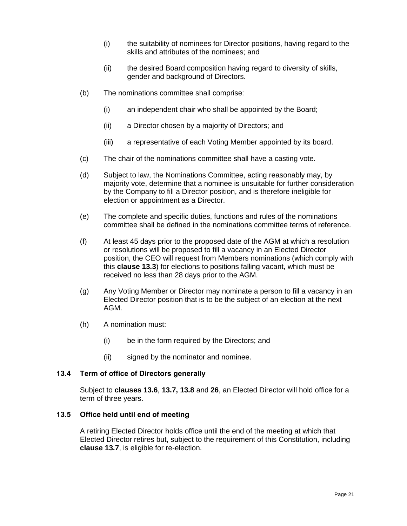- (i) the suitability of nominees for Director positions, having regard to the skills and attributes of the nominees; and
- (ii) the desired Board composition having regard to diversity of skills, gender and background of Directors.
- (b) The nominations committee shall comprise:
	- (i) an independent chair who shall be appointed by the Board;
	- (ii) a Director chosen by a majority of Directors; and
	- (iii) a representative of each Voting Member appointed by its board.
- (c) The chair of the nominations committee shall have a casting vote.
- (d) Subject to law, the Nominations Committee, acting reasonably may, by majority vote, determine that a nominee is unsuitable for further consideration by the Company to fill a Director position, and is therefore ineligible for election or appointment as a Director.
- (e) The complete and specific duties, functions and rules of the nominations committee shall be defined in the nominations committee terms of reference.
- (f) At least 45 days prior to the proposed date of the AGM at which a resolution or resolutions will be proposed to fill a vacancy in an Elected Director position, the CEO will request from Members nominations (which comply with this **clause [13.3](#page-20-6)**) for elections to positions falling vacant, which must be received no less than 28 days prior to the AGM.
- (g) Any Voting Member or Director may nominate a person to fill a vacancy in an Elected Director position that is to be the subject of an election at the next AGM.
- (h) A nomination must:
	- (i) be in the form required by the Directors; and
	- (ii) signed by the nominator and nominee.

#### <span id="page-21-2"></span>**13.4 Term of office of Directors generally**

Subject to **clauses [13.6](#page-22-6)**, **[13.7,](#page-22-5) [13.8](#page-22-7)** and **[26](#page-34-1)**, an Elected Director will hold office for a term of three years.

#### <span id="page-21-0"></span>**13.5 Office held until end of meeting**

<span id="page-21-1"></span>A retiring Elected Director holds office until the end of the meeting at which that Elected Director retires but, subject to the requirement of this Constitution, including **clause [13.7](#page-22-5)**, is eligible for re-election.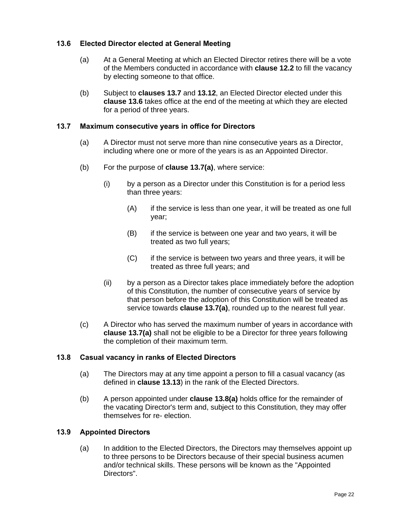#### <span id="page-22-6"></span>**13.6 Elected Director elected at General Meeting**

- <span id="page-22-0"></span>(a) At a General Meeting at which an Elected Director retires there will be a vote of the Members conducted in accordance with **clause [12.2](#page-19-5)** to fill the vacancy by electing someone to that office.
- (b) Subject to **clauses [13.7](#page-22-5)** and **[13.12](#page-23-4)**, an Elected Director elected under this **clause [13.6](#page-22-6)** takes office at the end of the meeting at which they are elected for a period of three years.

#### <span id="page-22-8"></span><span id="page-22-5"></span>**13.7 Maximum consecutive years in office for Directors**

- (a) A Director must not serve more than nine consecutive years as a Director, including where one or more of the years is as an Appointed Director.
- <span id="page-22-1"></span>(b) For the purpose of **clause [13.7\(a\)](#page-22-8)**, where service:
	- (i) by a person as a Director under this Constitution is for a period less than three years:
		- (A) if the service is less than one year, it will be treated as one full year;
		- (B) if the service is between one year and two years, it will be treated as two full years;
		- (C) if the service is between two years and three years, it will be treated as three full years; and
	- (ii) by a person as a Director takes place immediately before the adoption of this Constitution, the number of consecutive years of service by that person before the adoption of this Constitution will be treated as service towards **clause [13.7\(a\)](#page-22-8)**, rounded up to the nearest full year.
- (c) A Director who has served the maximum number of years in accordance with **clause [13.7\(a\)](#page-22-8)** shall not be eligible to be a Director for three years following the completion of their maximum term.

#### <span id="page-22-9"></span><span id="page-22-7"></span>**13.8 Casual vacancy in ranks of Elected Directors**

- (a) The Directors may at any time appoint a person to fill a casual vacancy (as defined in **clause [13.13](#page-23-5)**) in the rank of the Elected Directors.
- <span id="page-22-2"></span>(b) A person appointed under **clause [13.8\(a\)](#page-22-9)** holds office for the remainder of the vacating Director's term and, subject to this Constitution, they may offer themselves for re- election.

#### <span id="page-22-4"></span>**13.9 Appointed Directors**

<span id="page-22-3"></span>(a) In addition to the Elected Directors, the Directors may themselves appoint up to three persons to be Directors because of their special business acumen and/or technical skills. These persons will be known as the "Appointed Directors".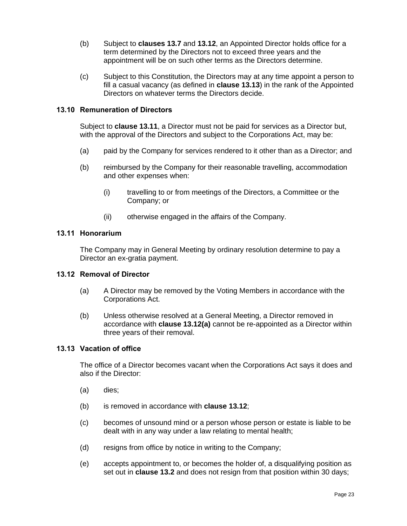- (b) Subject to **clauses [13.7](#page-22-5)** and **[13.12](#page-23-4)**, an Appointed Director holds office for a term determined by the Directors not to exceed three years and the appointment will be on such other terms as the Directors determine.
- (c) Subject to this Constitution, the Directors may at any time appoint a person to fill a casual vacancy (as defined in **clause [13.13](#page-23-5)**) in the rank of the Appointed Directors on whatever terms the Directors decide.

#### **13.10 Remuneration of Directors**

Subject to **clause [13.11](#page-23-6)**, a Director must not be paid for services as a Director but, with the approval of the Directors and subject to the Corporations Act, may be:

- <span id="page-23-0"></span>(a) paid by the Company for services rendered to it other than as a Director; and
- (b) reimbursed by the Company for their reasonable travelling, accommodation and other expenses when:
	- (i) travelling to or from meetings of the Directors, a Committee or the Company; or
	- (ii) otherwise engaged in the affairs of the Company.

#### <span id="page-23-6"></span>**13.11 Honorarium**

The Company may in General Meeting by ordinary resolution determine to pay a Director an ex-gratia payment.

#### <span id="page-23-7"></span><span id="page-23-4"></span><span id="page-23-1"></span>**13.12 Removal of Director**

- (a) A Director may be removed by the Voting Members in accordance with the Corporations Act.
- <span id="page-23-2"></span>(b) Unless otherwise resolved at a General Meeting, a Director removed in accordance with **clause [13.12\(a\)](#page-23-7)** cannot be re-appointed as a Director within three years of their removal.

#### <span id="page-23-5"></span>**13.13 Vacation of office**

The office of a Director becomes vacant when the Corporations Act says it does and also if the Director:

- <span id="page-23-3"></span>(a) dies;
- (b) is removed in accordance with **clause [13.12](#page-23-4)**;
- (c) becomes of unsound mind or a person whose person or estate is liable to be dealt with in any way under a law relating to mental health;
- (d) resigns from office by notice in writing to the Company;
- (e) accepts appointment to, or becomes the holder of, a disqualifying position as set out in **clause [13.2](#page-20-7)** and does not resign from that position within 30 days;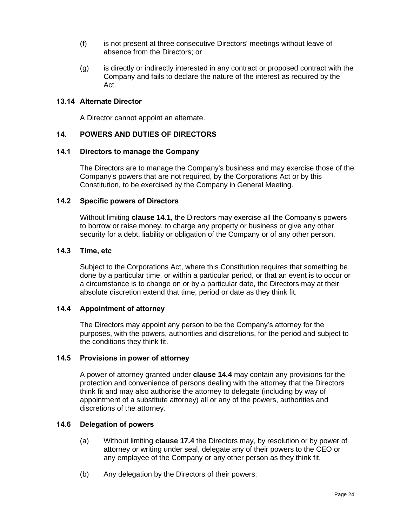- (f) is not present at three consecutive Directors' meetings without leave of absence from the Directors; or
- (g) is directly or indirectly interested in any contract or proposed contract with the Company and fails to declare the nature of the interest as required by the Act.

#### **13.14 Alternate Director**

A Director cannot appoint an alternate.

#### <span id="page-24-0"></span>**14. POWERS AND DUTIES OF DIRECTORS**

#### <span id="page-24-8"></span><span id="page-24-1"></span>**14.1 Directors to manage the Company**

The Directors are to manage the Company's business and may exercise those of the Company's powers that are not required, by the Corporations Act or by this Constitution, to be exercised by the Company in General Meeting.

#### <span id="page-24-2"></span>**14.2 Specific powers of Directors**

Without limiting **clause [14.1](#page-24-8)**, the Directors may exercise all the Company's powers to borrow or raise money, to charge any property or business or give any other security for a debt, liability or obligation of the Company or of any other person.

#### <span id="page-24-3"></span>**14.3 Time, etc**

Subject to the Corporations Act, where this Constitution requires that something be done by a particular time, or within a particular period, or that an event is to occur or a circumstance is to change on or by a particular date, the Directors may at their absolute discretion extend that time, period or date as they think fit.

#### <span id="page-24-9"></span><span id="page-24-4"></span>**14.4 Appointment of attorney**

The Directors may appoint any person to be the Company's attorney for the purposes, with the powers, authorities and discretions, for the period and subject to the conditions they think fit.

#### <span id="page-24-5"></span>**14.5 Provisions in power of attorney**

<span id="page-24-6"></span>A power of attorney granted under **clause [14.4](#page-24-9)** may contain any provisions for the protection and convenience of persons dealing with the attorney that the Directors think fit and may also authorise the attorney to delegate (including by way of appointment of a substitute attorney) all or any of the powers, authorities and discretions of the attorney.

#### **14.6 Delegation of powers**

- <span id="page-24-7"></span>(a) Without limiting **clause [17.4](#page-29-8)** the Directors may, by resolution or by power of attorney or writing under seal, delegate any of their powers to the CEO or any employee of the Company or any other person as they think fit.
- (b) Any delegation by the Directors of their powers: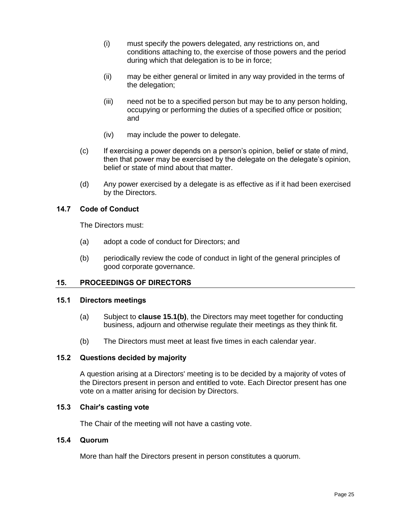- (i) must specify the powers delegated, any restrictions on, and conditions attaching to, the exercise of those powers and the period during which that delegation is to be in force;
- (ii) may be either general or limited in any way provided in the terms of the delegation;
- (iii) need not be to a specified person but may be to any person holding, occupying or performing the duties of a specified office or position; and
- (iv) may include the power to delegate.
- (c) If exercising a power depends on a person's opinion, belief or state of mind, then that power may be exercised by the delegate on the delegate's opinion, belief or state of mind about that matter.
- (d) Any power exercised by a delegate is as effective as if it had been exercised by the Directors.

#### **14.7 Code of Conduct**

The Directors must:

- <span id="page-25-0"></span>(a) adopt a code of conduct for Directors; and
- (b) periodically review the code of conduct in light of the general principles of good corporate governance.

#### **15. PROCEEDINGS OF DIRECTORS**

#### <span id="page-25-1"></span>**15.1 Directors meetings**

- (a) Subject to **clause [15.1\(b\)](#page-25-6)**, the Directors may meet together for conducting business, adjourn and otherwise regulate their meetings as they think fit.
- (b) The Directors must meet at least five times in each calendar year.

#### <span id="page-25-6"></span><span id="page-25-2"></span>**15.2 Questions decided by majority**

A question arising at a Directors' meeting is to be decided by a majority of votes of the Directors present in person and entitled to vote. Each Director present has one vote on a matter arising for decision by Directors.

#### <span id="page-25-3"></span>**15.3 Chair's casting vote**

The Chair of the meeting will not have a casting vote.

#### <span id="page-25-4"></span>**15.4 Quorum**

<span id="page-25-5"></span>More than half the Directors present in person constitutes a quorum.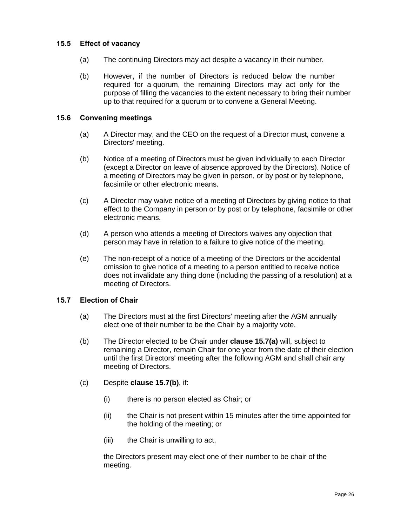#### **15.5 Effect of vacancy**

- (a) The continuing Directors may act despite a vacancy in their number.
- <span id="page-26-0"></span>(b) However, if the number of Directors is reduced below the number required for a quorum, the remaining Directors may act only for the purpose of filling the vacancies to the extent necessary to bring their number up to that required for a quorum or to convene a General Meeting.

#### **15.6 Convening meetings**

- (a) A Director may, and the CEO on the request of a Director must, convene a Directors' meeting.
- <span id="page-26-1"></span>(b) Notice of a meeting of Directors must be given individually to each Director (except a Director on leave of absence approved by the Directors). Notice of a meeting of Directors may be given in person, or by post or by telephone, facsimile or other electronic means.
- (c) A Director may waive notice of a meeting of Directors by giving notice to that effect to the Company in person or by post or by telephone, facsimile or other electronic means.
- (d) A person who attends a meeting of Directors waives any objection that person may have in relation to a failure to give notice of the meeting.
- (e) The non-receipt of a notice of a meeting of the Directors or the accidental omission to give notice of a meeting to a person entitled to receive notice does not invalidate any thing done (including the passing of a resolution) at a meeting of Directors.

#### <span id="page-26-5"></span><span id="page-26-3"></span>**15.7 Election of Chair**

- (a) The Directors must at the first Directors' meeting after the AGM annually elect one of their number to be the Chair by a majority vote.
- <span id="page-26-4"></span><span id="page-26-2"></span>(b) The Director elected to be Chair under **clause [15.7\(a\)](#page-26-3)** will, subject to remaining a Director, remain Chair for one year from the date of their election until the first Directors' meeting after the following AGM and shall chair any meeting of Directors.
- (c) Despite **clause [15.7\(b\)](#page-26-4)**, if:
	- (i) there is no person elected as Chair; or
	- (ii) the Chair is not present within 15 minutes after the time appointed for the holding of the meeting; or
	- (iii) the Chair is unwilling to act,

the Directors present may elect one of their number to be chair of the meeting.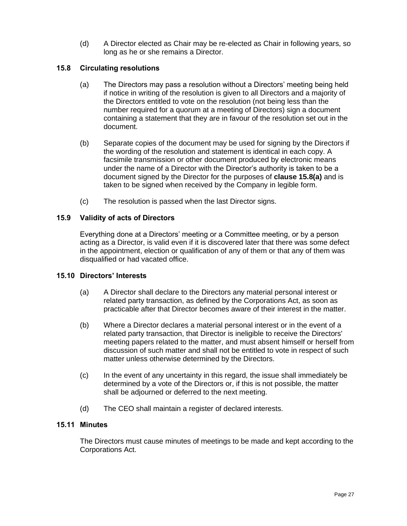(d) A Director elected as Chair may be re-elected as Chair in following years, so long as he or she remains a Director.

#### <span id="page-27-4"></span>**15.8 Circulating resolutions**

- <span id="page-27-0"></span>(a) The Directors may pass a resolution without a Directors' meeting being held if notice in writing of the resolution is given to all Directors and a majority of the Directors entitled to vote on the resolution (not being less than the number required for a quorum at a meeting of Directors) sign a document containing a statement that they are in favour of the resolution set out in the document.
- (b) Separate copies of the document may be used for signing by the Directors if the wording of the resolution and statement is identical in each copy. A facsimile transmission or other document produced by electronic means under the name of a Director with the Director's authority is taken to be a document signed by the Director for the purposes of **clause [15.8\(a\)](#page-27-4)** and is taken to be signed when received by the Company in legible form.
- (c) The resolution is passed when the last Director signs.

#### **15.9 Validity of acts of Directors**

Everything done at a Directors' meeting or a Committee meeting, or by a person acting as a Director, is valid even if it is discovered later that there was some defect in the appointment, election or qualification of any of them or that any of them was disqualified or had vacated office.

#### <span id="page-27-1"></span>**15.10 Directors' Interests**

- <span id="page-27-2"></span>(a) A Director shall declare to the Directors any material personal interest or related party transaction, as defined by the Corporations Act, as soon as practicable after that Director becomes aware of their interest in the matter.
- (b) Where a Director declares a material personal interest or in the event of a related party transaction, that Director is ineligible to receive the Directors' meeting papers related to the matter, and must absent himself or herself from discussion of such matter and shall not be entitled to vote in respect of such matter unless otherwise determined by the Directors.
- (c) In the event of any uncertainty in this regard, the issue shall immediately be determined by a vote of the Directors or, if this is not possible, the matter shall be adjourned or deferred to the next meeting.
- (d) The CEO shall maintain a register of declared interests.

#### **15.11 Minutes**

<span id="page-27-3"></span>The Directors must cause minutes of meetings to be made and kept according to the Corporations Act.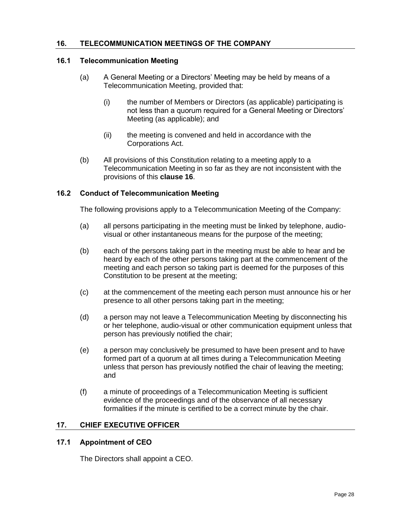#### <span id="page-28-5"></span>**16. TELECOMMUNICATION MEETINGS OF THE COMPANY**

#### <span id="page-28-0"></span>**16.1 Telecommunication Meeting**

- <span id="page-28-1"></span>(a) A General Meeting or a Directors' Meeting may be held by means of a Telecommunication Meeting, provided that:
	- (i) the number of Members or Directors (as applicable) participating is not less than a quorum required for a General Meeting or Directors' Meeting (as applicable); and
	- (ii) the meeting is convened and held in accordance with the Corporations Act.
- (b) All provisions of this Constitution relating to a meeting apply to a Telecommunication Meeting in so far as they are not inconsistent with the provisions of this **clause [16](#page-28-5)**.

#### **16.2 Conduct of Telecommunication Meeting**

The following provisions apply to a Telecommunication Meeting of the Company:

- <span id="page-28-2"></span>(a) all persons participating in the meeting must be linked by telephone, audiovisual or other instantaneous means for the purpose of the meeting;
- (b) each of the persons taking part in the meeting must be able to hear and be heard by each of the other persons taking part at the commencement of the meeting and each person so taking part is deemed for the purposes of this Constitution to be present at the meeting;
- (c) at the commencement of the meeting each person must announce his or her presence to all other persons taking part in the meeting;
- (d) a person may not leave a Telecommunication Meeting by disconnecting his or her telephone, audio-visual or other communication equipment unless that person has previously notified the chair;
- (e) a person may conclusively be presumed to have been present and to have formed part of a quorum at all times during a Telecommunication Meeting unless that person has previously notified the chair of leaving the meeting; and
- (f) a minute of proceedings of a Telecommunication Meeting is sufficient evidence of the proceedings and of the observance of all necessary formalities if the minute is certified to be a correct minute by the chair.

#### **17. CHIEF EXECUTIVE OFFICER**

#### <span id="page-28-3"></span>**17.1 Appointment of CEO**

<span id="page-28-4"></span>The Directors shall appoint a CEO.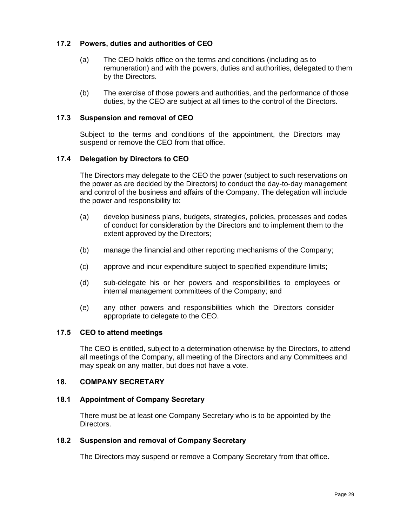#### **17.2 Powers, duties and authorities of CEO**

- <span id="page-29-0"></span>(a) The CEO holds office on the terms and conditions (including as to remuneration) and with the powers, duties and authorities, delegated to them by the Directors.
- (b) The exercise of those powers and authorities, and the performance of those duties, by the CEO are subject at all times to the control of the Directors.

#### **17.3 Suspension and removal of CEO**

Subject to the terms and conditions of the appointment, the Directors may suspend or remove the CEO from that office.

#### <span id="page-29-8"></span><span id="page-29-1"></span>**17.4 Delegation by Directors to CEO**

<span id="page-29-2"></span>The Directors may delegate to the CEO the power (subject to such reservations on the power as are decided by the Directors) to conduct the day-to-day management and control of the business and affairs of the Company. The delegation will include the power and responsibility to:

- (a) develop business plans, budgets, strategies, policies, processes and codes of conduct for consideration by the Directors and to implement them to the extent approved by the Directors;
- (b) manage the financial and other reporting mechanisms of the Company;
- (c) approve and incur expenditure subject to specified expenditure limits;
- (d) sub-delegate his or her powers and responsibilities to employees or internal management committees of the Company; and
- (e) any other powers and responsibilities which the Directors consider appropriate to delegate to the CEO.

#### **17.5 CEO to attend meetings**

The CEO is entitled, subject to a determination otherwise by the Directors, to attend all meetings of the Company, all meeting of the Directors and any Committees and may speak on any matter, but does not have a vote.

#### <span id="page-29-7"></span><span id="page-29-3"></span>**18. COMPANY SECRETARY**

#### <span id="page-29-4"></span>**18.1 Appointment of Company Secretary**

There must be at least one Company Secretary who is to be appointed by the Directors.

#### <span id="page-29-5"></span>**18.2 Suspension and removal of Company Secretary**

<span id="page-29-6"></span>The Directors may suspend or remove a Company Secretary from that office.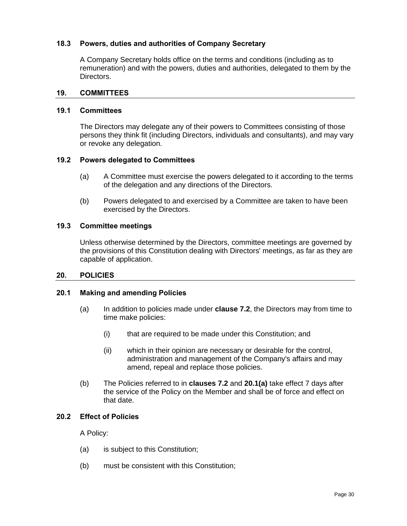#### **18.3 Powers, duties and authorities of Company Secretary**

A Company Secretary holds office on the terms and conditions (including as to remuneration) and with the powers, duties and authorities, delegated to them by the Directors.

#### <span id="page-30-8"></span><span id="page-30-0"></span>**19. COMMITTEES**

#### <span id="page-30-1"></span>**19.1 Committees**

The Directors may delegate any of their powers to Committees consisting of those persons they think fit (including Directors, individuals and consultants), and may vary or revoke any delegation.

#### <span id="page-30-2"></span>**19.2 Powers delegated to Committees**

- (a) A Committee must exercise the powers delegated to it according to the terms of the delegation and any directions of the Directors.
- <span id="page-30-3"></span>(b) Powers delegated to and exercised by a Committee are taken to have been exercised by the Directors.

#### **19.3 Committee meetings**

Unless otherwise determined by the Directors, committee meetings are governed by the provisions of this Constitution dealing with Directors' meetings, as far as they are capable of application.

#### <span id="page-30-4"></span>**20. POLICIES**

#### <span id="page-30-5"></span>**20.1 Making and amending Policies**

- <span id="page-30-6"></span>(a) In addition to policies made under **clause [7.2](#page-9-7)**, the Directors may from time to time make policies:
	- (i) that are required to be made under this Constitution; and
	- (ii) which in their opinion are necessary or desirable for the control, administration and management of the Company's affairs and may amend, repeal and replace those policies.
- (b) The Policies referred to in **clauses [7.2](#page-9-7)** and **[20.1\(a\)](#page-30-5)** take effect 7 days after the service of the Policy on the Member and shall be of force and effect on that date.

#### **20.2 Effect of Policies**

A Policy:

- <span id="page-30-7"></span>(a) is subject to this Constitution;
- (b) must be consistent with this Constitution;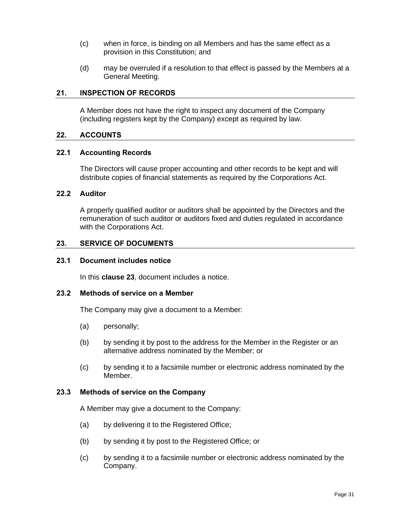- (c) when in force, is binding on all Members and has the same effect as a provision in this Constitution; and
- (d) may be overruled if a resolution to that effect is passed by the Members at a General Meeting.

#### **21. INSPECTION OF RECORDS**

A Member does not have the right to inspect any document of the Company (including registers kept by the Company) except as required by law.

#### <span id="page-31-0"></span>**22. ACCOUNTS**

#### <span id="page-31-1"></span>**22.1 Accounting Records**

The Directors will cause proper accounting and other records to be kept and will distribute copies of financial statements as required by the Corporations Act.

#### <span id="page-31-2"></span>**22.2 Auditor**

A properly qualified auditor or auditors shall be appointed by the Directors and the remuneration of such auditor or auditors fixed and duties regulated in accordance with the Corporations Act.

#### <span id="page-31-8"></span><span id="page-31-3"></span>**23. SERVICE OF DOCUMENTS**

#### <span id="page-31-4"></span>**23.1 Document includes notice**

In this **clause [23](#page-31-8)**, document includes a notice.

#### <span id="page-31-5"></span>**23.2 Methods of service on a Member**

The Company may give a document to a Member:

- <span id="page-31-6"></span>(a) personally;
- (b) by sending it by post to the address for the Member in the Register or an alternative address nominated by the Member; or
- (c) by sending it to a facsimile number or electronic address nominated by the Member.

#### **23.3 Methods of service on the Company**

A Member may give a document to the Company:

- <span id="page-31-7"></span>(a) by delivering it to the Registered Office;
- (b) by sending it by post to the Registered Office; or
- (c) by sending it to a facsimile number or electronic address nominated by the Company.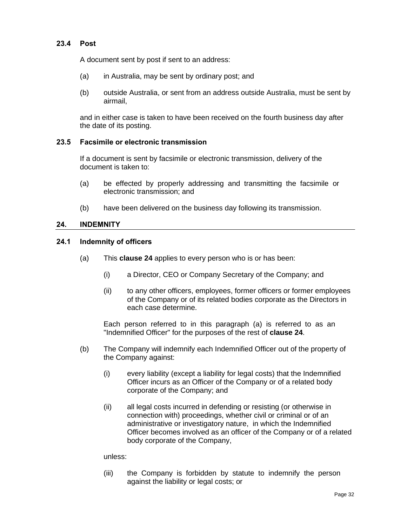A document sent by post if sent to an address:

- <span id="page-32-0"></span>(a) in Australia, may be sent by ordinary post; and
- (b) outside Australia, or sent from an address outside Australia, must be sent by airmail,

and in either case is taken to have been received on the fourth business day after the date of its posting.

#### **23.5 Facsimile or electronic transmission**

If a document is sent by facsimile or electronic transmission, delivery of the document is taken to:

- <span id="page-32-1"></span>(a) be effected by properly addressing and transmitting the facsimile or electronic transmission; and
- (b) have been delivered on the business day following its transmission.

#### <span id="page-32-4"></span>**24. INDEMNITY**

#### <span id="page-32-5"></span><span id="page-32-2"></span>**24.1 Indemnity of officers**

- <span id="page-32-3"></span>(a) This **clause [24](#page-32-4)** applies to every person who is or has been:
	- (i) a Director, CEO or Company Secretary of the Company; and
	- (ii) to any other officers, employees, former officers or former employees of the Company or of its related bodies corporate as the Directors in each case determine.

Each person referred to in this paragraph (a) is referred to as an "Indemnified Officer" for the purposes of the rest of **clause [24](#page-32-4)**.

- (b) The Company will indemnify each Indemnified Officer out of the property of the Company against:
	- (i) every liability (except a liability for legal costs) that the Indemnified Officer incurs as an Officer of the Company or of a related body corporate of the Company; and
	- (ii) all legal costs incurred in defending or resisting (or otherwise in connection with) proceedings, whether civil or criminal or of an administrative or investigatory nature, in which the Indemnified Officer becomes involved as an officer of the Company or of a related body corporate of the Company,

unless:

(iii) the Company is forbidden by statute to indemnify the person against the liability or legal costs; or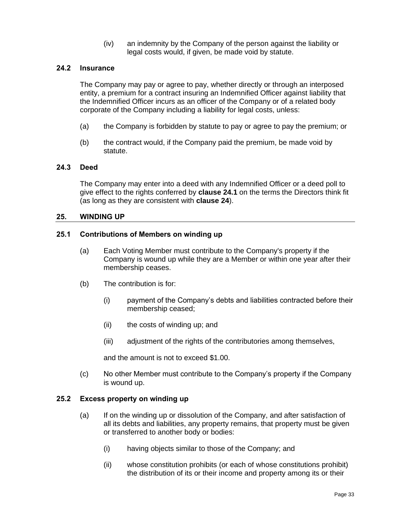(iv) an indemnity by the Company of the person against the liability or legal costs would, if given, be made void by statute.

#### **24.2 Insurance**

<span id="page-33-0"></span>The Company may pay or agree to pay, whether directly or through an interposed entity, a premium for a contract insuring an Indemnified Officer against liability that the Indemnified Officer incurs as an officer of the Company or of a related body corporate of the Company including a liability for legal costs, unless:

- (a) the Company is forbidden by statute to pay or agree to pay the premium; or
- (b) the contract would, if the Company paid the premium, be made void by statute.

#### **24.3 Deed**

The Company may enter into a deed with any Indemnified Officer or a deed poll to give effect to the rights conferred by **clause [24.1](#page-32-5)** on the terms the Directors think fit (as long as they are consistent with **clause [24](#page-32-4)**).

#### <span id="page-33-5"></span><span id="page-33-1"></span>**25. WINDING UP**

#### <span id="page-33-2"></span>**25.1 Contributions of Members on winding up**

- (a) Each Voting Member must contribute to the Company's property if the Company is wound up while they are a Member or within one year after their membership ceases.
- <span id="page-33-3"></span>(b) The contribution is for:
	- (i) payment of the Company's debts and liabilities contracted before their membership ceased;
	- (ii) the costs of winding up; and
	- (iii) adjustment of the rights of the contributories among themselves,

and the amount is not to exceed \$1.00.

(c) No other Member must contribute to the Company's property if the Company is wound up.

#### **25.2 Excess property on winding up**

- <span id="page-33-4"></span>(a) If on the winding up or dissolution of the Company, and after satisfaction of all its debts and liabilities, any property remains, that property must be given or transferred to another body or bodies:
	- (i) having objects similar to those of the Company; and
	- (ii) whose constitution prohibits (or each of whose constitutions prohibit) the distribution of its or their income and property among its or their